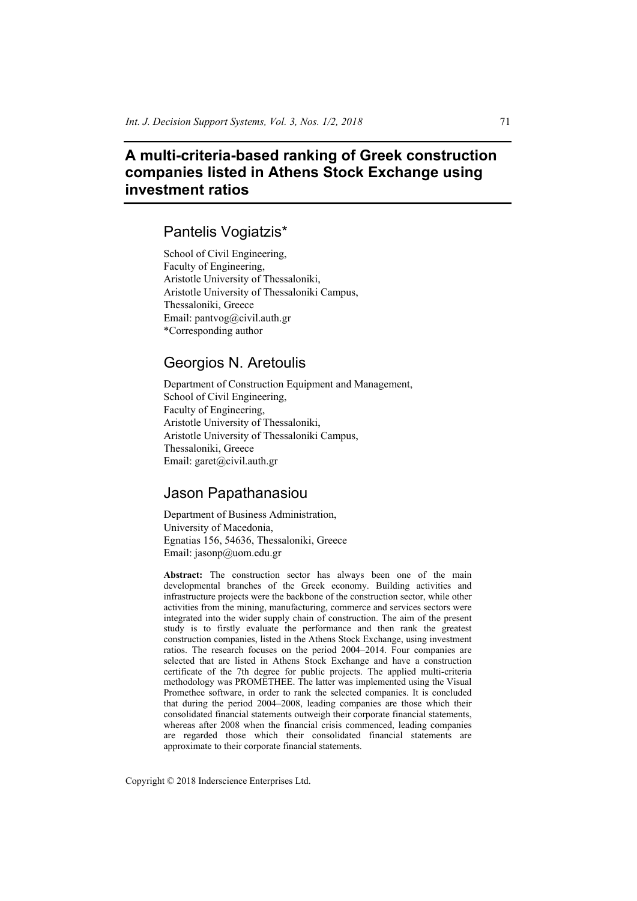# **A multi-criteria-based ranking of Greek construction companies listed in Athens Stock Exchange using investment ratios**

## Pantelis Vogiatzis\*

School of Civil Engineering, Faculty of Engineering, Aristotle University of Thessaloniki, Aristotle University of Thessaloniki Campus, Thessaloniki, Greece Email: pantvog@civil.auth.gr \*Corresponding author

## Georgios N. Aretoulis

Department of Construction Equipment and Management, School of Civil Engineering, Faculty of Engineering, Aristotle University of Thessaloniki, Aristotle University of Thessaloniki Campus, Thessaloniki, Greece Email: garet@civil.auth.gr

## Jason Papathanasiou

Department of Business Administration, University of Macedonia, Egnatias 156, 54636, Thessaloniki, Greece Email: jasonp@uom.edu.gr

**Abstract:** The construction sector has always been one of the main developmental branches of the Greek economy. Building activities and infrastructure projects were the backbone of the construction sector, while other activities from the mining, manufacturing, commerce and services sectors were integrated into the wider supply chain of construction. The aim of the present study is to firstly evaluate the performance and then rank the greatest construction companies, listed in the Athens Stock Exchange, using investment ratios. The research focuses on the period 2004–2014. Four companies are selected that are listed in Athens Stock Exchange and have a construction certificate of the 7th degree for public projects. The applied multi-criteria methodology was PROMETHEE. The latter was implemented using the Visual Promethee software, in order to rank the selected companies. It is concluded that during the period 2004–2008, leading companies are those which their consolidated financial statements outweigh their corporate financial statements, whereas after 2008 when the financial crisis commenced, leading companies are regarded those which their consolidated financial statements are approximate to their corporate financial statements.

Copyright © 2018 Inderscience Enterprises Ltd.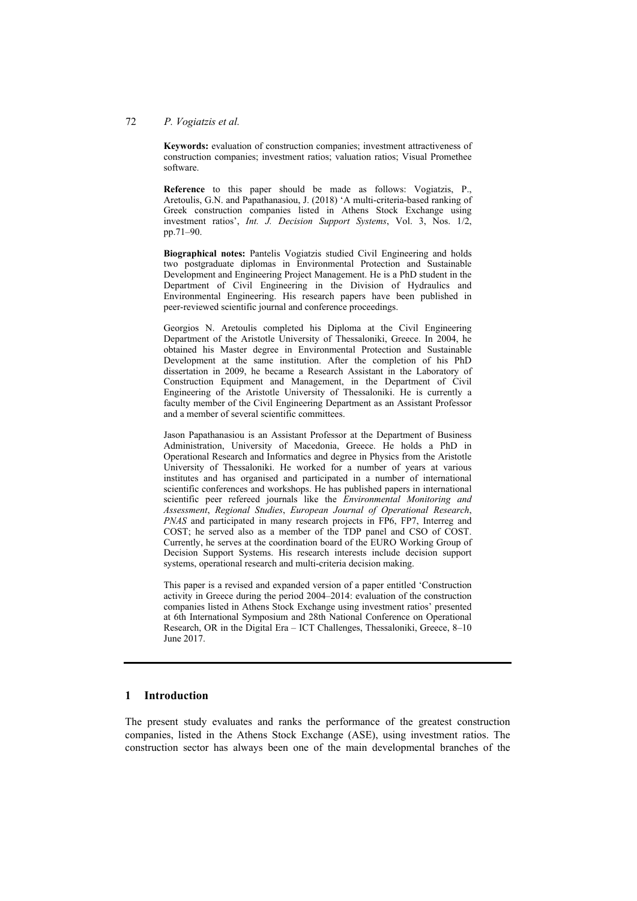**Keywords:** evaluation of construction companies; investment attractiveness of construction companies; investment ratios; valuation ratios; Visual Promethee software.

**Reference** to this paper should be made as follows: Vogiatzis, P., Aretoulis, G.N. and Papathanasiou, J. (2018) 'A multi-criteria-based ranking of Greek construction companies listed in Athens Stock Exchange using investment ratios', *Int. J. Decision Support Systems*, Vol. 3, Nos. 1/2, pp.71–90.

**Biographical notes:** Pantelis Vogiatzis studied Civil Engineering and holds two postgraduate diplomas in Environmental Protection and Sustainable Development and Engineering Project Management. He is a PhD student in the Department of Civil Engineering in the Division of Hydraulics and Environmental Engineering. His research papers have been published in peer-reviewed scientific journal and conference proceedings.

Georgios N. Aretoulis completed his Diploma at the Civil Engineering Department of the Aristotle University of Thessaloniki, Greece. In 2004, he obtained his Master degree in Environmental Protection and Sustainable Development at the same institution. After the completion of his PhD dissertation in 2009, he became a Research Assistant in the Laboratory of Construction Equipment and Management, in the Department of Civil Engineering of the Aristotle University of Thessaloniki. He is currently a faculty member of the Civil Engineering Department as an Assistant Professor and a member of several scientific committees.

Jason Papathanasiou is an Assistant Professor at the Department of Business Administration, University of Macedonia, Greece. He holds a PhD in Operational Research and Informatics and degree in Physics from the Aristotle University of Thessaloniki. He worked for a number of years at various institutes and has organised and participated in a number of international scientific conferences and workshops. He has published papers in international scientific peer refereed journals like the *Environmental Monitoring and Assessment*, *Regional Studies*, *European Journal of Operational Research*, *PNAS* and participated in many research projects in FP6, FP7, Interreg and COST; he served also as a member of the TDP panel and CSO of COST. Currently, he serves at the coordination board of the EURO Working Group of Decision Support Systems. His research interests include decision support systems, operational research and multi-criteria decision making.

This paper is a revised and expanded version of a paper entitled 'Construction activity in Greece during the period 2004–2014: evaluation of the construction companies listed in Athens Stock Exchange using investment ratios' presented at 6th International Symposium and 28th National Conference on Operational Research, OR in the Digital Era – ICT Challenges, Thessaloniki, Greece, 8–10 June 2017.

## **1 Introduction**

Τhe present study evaluates and ranks the performance of the greatest construction companies, listed in the Athens Stock Exchange (ASE), using investment ratios. The construction sector has always been one of the main developmental branches of the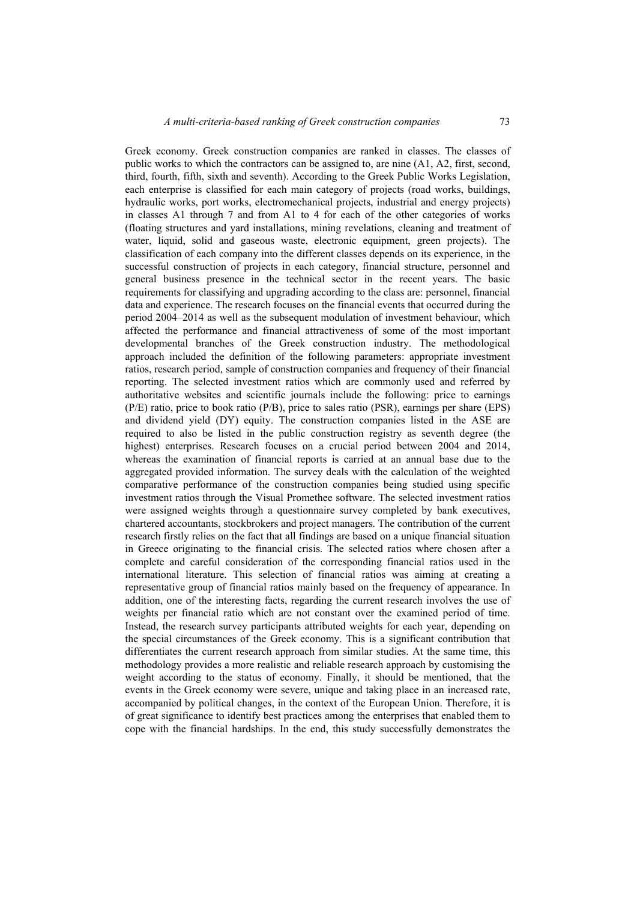Greek economy. Greek construction companies are ranked in classes. The classes of public works to which the contractors can be assigned to, are nine (A1, A2, first, second, third, fourth, fifth, sixth and seventh). According to the Greek Public Works Legislation, each enterprise is classified for each main category of projects (road works, buildings, hydraulic works, port works, electromechanical projects, industrial and energy projects) in classes A1 through 7 and from A1 to 4 for each of the other categories of works (floating structures and yard installations, mining revelations, cleaning and treatment of water, liquid, solid and gaseous waste, electronic equipment, green projects). The classification of each company into the different classes depends on its experience, in the successful construction of projects in each category, financial structure, personnel and general business presence in the technical sector in the recent years. The basic requirements for classifying and upgrading according to the class are: personnel, financial data and experience. The research focuses on the financial events that occurred during the period 2004–2014 as well as the subsequent modulation of investment behaviour, which affected the performance and financial attractiveness of some of the most important developmental branches of the Greek construction industry. The methodological approach included the definition of the following parameters: appropriate investment ratios, research period, sample of construction companies and frequency of their financial reporting. The selected investment ratios which are commonly used and referred by authoritative websites and scientific journals include the following: price to earnings (P/E) ratio, price to book ratio (P/B), price to sales ratio (PSR), earnings per share (EPS) and dividend yield (DY) equity. The construction companies listed in the ASE are required to also be listed in the public construction registry as seventh degree (the highest) enterprises. Research focuses on a crucial period between 2004 and 2014, whereas the examination of financial reports is carried at an annual base due to the aggregated provided information. The survey deals with the calculation of the weighted comparative performance of the construction companies being studied using specific investment ratios through the Visual Promethee software. The selected investment ratios were assigned weights through a questionnaire survey completed by bank executives, chartered accountants, stockbrokers and project managers. The contribution of the current research firstly relies on the fact that all findings are based on a unique financial situation in Greece originating to the financial crisis. The selected ratios where chosen after a complete and careful consideration of the corresponding financial ratios used in the international literature. This selection of financial ratios was aiming at creating a representative group of financial ratios mainly based on the frequency of appearance. In addition, one of the interesting facts, regarding the current research involves the use of weights per financial ratio which are not constant over the examined period of time. Instead, the research survey participants attributed weights for each year, depending on the special circumstances of the Greek economy. This is a significant contribution that differentiates the current research approach from similar studies. At the same time, this methodology provides a more realistic and reliable research approach by customising the weight according to the status of economy. Finally, it should be mentioned, that the events in the Greek economy were severe, unique and taking place in an increased rate, accompanied by political changes, in the context of the European Union. Therefore, it is of great significance to identify best practices among the enterprises that enabled them to cope with the financial hardships. In the end, this study successfully demonstrates the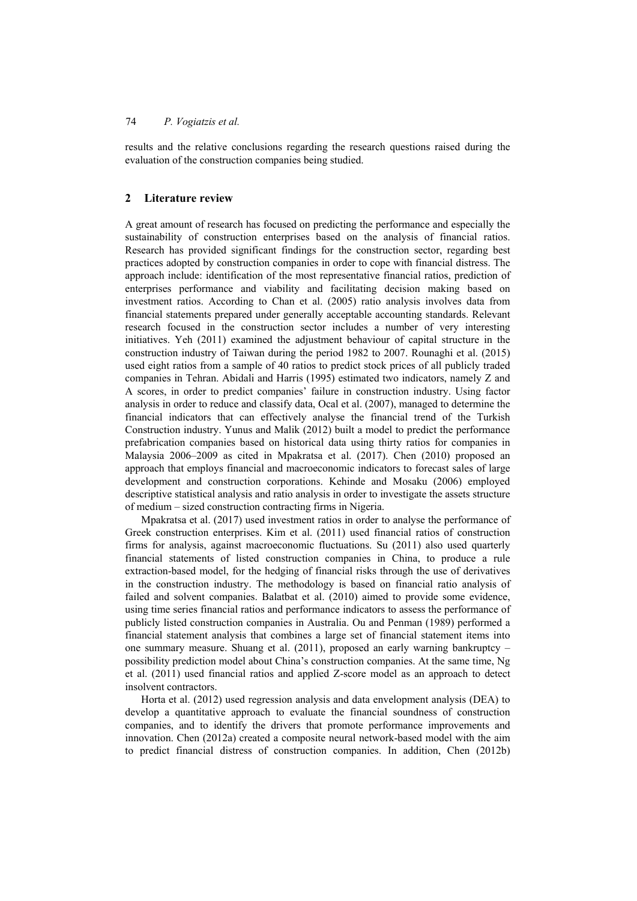results and the relative conclusions regarding the research questions raised during the evaluation of the construction companies being studied.

#### **2 Literature review**

A great amount of research has focused on predicting the performance and especially the sustainability of construction enterprises based on the analysis of financial ratios. Research has provided significant findings for the construction sector, regarding best practices adopted by construction companies in order to cope with financial distress. The approach include: identification of the most representative financial ratios, prediction of enterprises performance and viability and facilitating decision making based on investment ratios. According to Chan et al. (2005) ratio analysis involves data from financial statements prepared under generally acceptable accounting standards. Relevant research focused in the construction sector includes a number of very interesting initiatives. Yeh (2011) examined the adjustment behaviour of capital structure in the construction industry of Taiwan during the period 1982 to 2007. Rounaghi et al. (2015) used eight ratios from a sample of 40 ratios to predict stock prices of all publicly traded companies in Tehran. Abidali and Harris (1995) estimated two indicators, namely Z and A scores, in order to predict companies' failure in construction industry. Using factor analysis in order to reduce and classify data, Ocal et al. (2007), managed to determine the financial indicators that can effectively analyse the financial trend of the Turkish Construction industry. Yunus and Malik (2012) built a model to predict the performance prefabrication companies based on historical data using thirty ratios for companies in Malaysia 2006–2009 as cited in Mpakratsa et al. (2017). Chen (2010) proposed an approach that employs financial and macroeconomic indicators to forecast sales of large development and construction corporations. Kehinde and Mosaku (2006) employed descriptive statistical analysis and ratio analysis in order to investigate the assets structure of medium – sized construction contracting firms in Nigeria.

Mpakratsa et al. (2017) used investment ratios in order to analyse the performance of Greek construction enterprises. Kim et al. (2011) used financial ratios of construction firms for analysis, against macroeconomic fluctuations. Su (2011) also used quarterly financial statements of listed construction companies in China, to produce a rule extraction-based model, for the hedging of financial risks through the use of derivatives in the construction industry. The methodology is based on financial ratio analysis of failed and solvent companies. Balatbat et al. (2010) aimed to provide some evidence, using time series financial ratios and performance indicators to assess the performance of publicly listed construction companies in Australia. Ou and Penman (1989) performed a financial statement analysis that combines a large set of financial statement items into one summary measure. Shuang et al.  $(2011)$ , proposed an early warning bankruptcy – possibility prediction model about China's construction companies. At the same time, Ng et al. (2011) used financial ratios and applied Z-score model as an approach to detect insolvent contractors.

Horta et al. (2012) used regression analysis and data envelopment analysis (DEA) to develop a quantitative approach to evaluate the financial soundness of construction companies, and to identify the drivers that promote performance improvements and innovation. Chen (2012a) created a composite neural network-based model with the aim to predict financial distress of construction companies. In addition, Chen (2012b)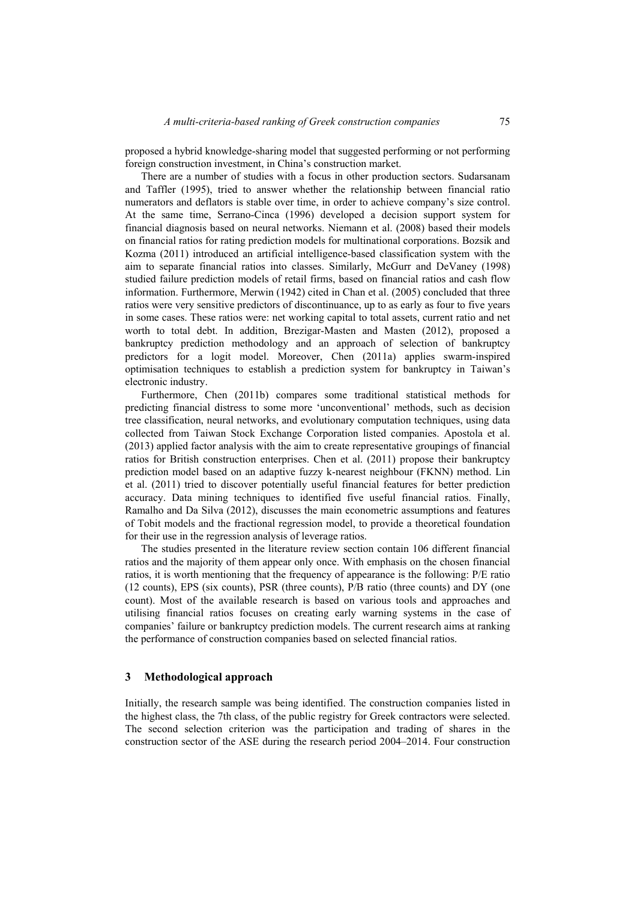proposed a hybrid knowledge-sharing model that suggested performing or not performing foreign construction investment, in China's construction market.

There are a number of studies with a focus in other production sectors. Sudarsanam and Taffler (1995), tried to answer whether the relationship between financial ratio numerators and deflators is stable over time, in order to achieve company's size control. At the same time, Serrano-Cinca (1996) developed a decision support system for financial diagnosis based on neural networks. Niemann et al. (2008) based their models on financial ratios for rating prediction models for multinational corporations. Bozsik and Kozma (2011) introduced an artificial intelligence-based classification system with the aim to separate financial ratios into classes. Similarly, McGurr and DeVaney (1998) studied failure prediction models of retail firms, based on financial ratios and cash flow information. Furthermore, Merwin (1942) cited in Chan et al. (2005) concluded that three ratios were very sensitive predictors of discontinuance, up to as early as four to five years in some cases. These ratios were: net working capital to total assets, current ratio and net worth to total debt. In addition, Brezigar-Masten and Masten (2012), proposed a bankruptcy prediction methodology and an approach of selection of bankruptcy predictors for a logit model. Moreover, Chen (2011a) applies swarm-inspired optimisation techniques to establish a prediction system for bankruptcy in Taiwan's electronic industry.

Furthermore, Chen (2011b) compares some traditional statistical methods for predicting financial distress to some more 'unconventional' methods, such as decision tree classification, neural networks, and evolutionary computation techniques, using data collected from Taiwan Stock Exchange Corporation listed companies. Apostola et al. (2013) applied factor analysis with the aim to create representative groupings of financial ratios for British construction enterprises. Chen et al. (2011) propose their bankruptcy prediction model based on an adaptive fuzzy k-nearest neighbour (FKNN) method. Lin et al. (2011) tried to discover potentially useful financial features for better prediction accuracy. Data mining techniques to identified five useful financial ratios. Finally, Ramalho and Da Silva (2012), discusses the main econometric assumptions and features of Tobit models and the fractional regression model, to provide a theoretical foundation for their use in the regression analysis of leverage ratios.

The studies presented in the literature review section contain 106 different financial ratios and the majority of them appear only once. With emphasis on the chosen financial ratios, it is worth mentioning that the frequency of appearance is the following: P/E ratio (12 counts), EPS (six counts), PSR (three counts), P/B ratio (three counts) and DY (one count). Most of the available research is based on various tools and approaches and utilising financial ratios focuses on creating early warning systems in the case of companies' failure or bankruptcy prediction models. The current research aims at ranking the performance of construction companies based on selected financial ratios.

#### **3 Methodological approach**

Initially, the research sample was being identified. The construction companies listed in the highest class, the 7th class, of the public registry for Greek contractors were selected. The second selection criterion was the participation and trading of shares in the construction sector of the ASE during the research period 2004–2014. Four construction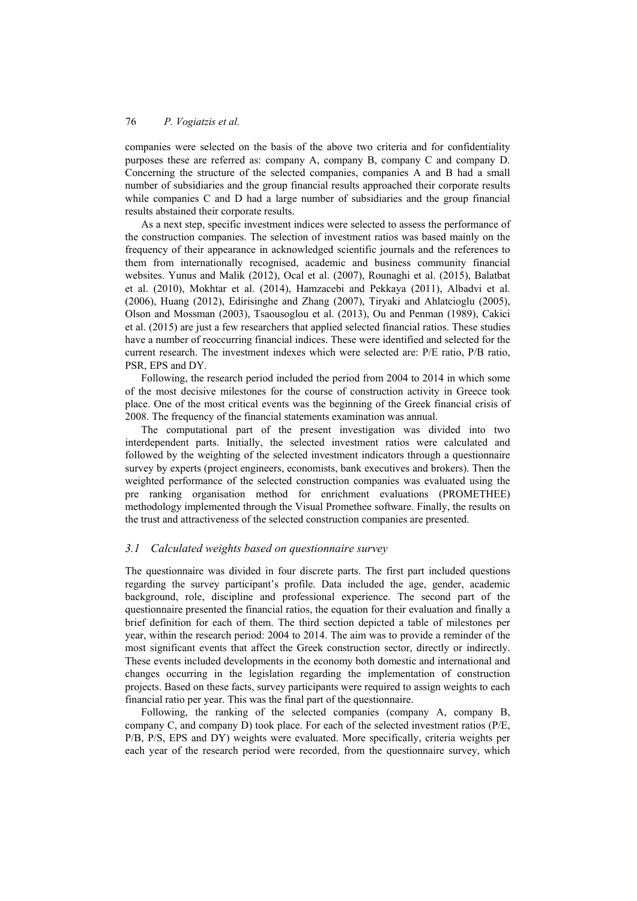companies were selected on the basis of the above two criteria and for confidentiality purposes these are referred as: company A, company B, company C and company D. Concerning the structure of the selected companies, companies A and B had a small number of subsidiaries and the group financial results approached their corporate results while companies C and D had a large number of subsidiaries and the group financial results abstained their corporate results.

As a next step, specific investment indices were selected to assess the performance of the construction companies. The selection of investment ratios was based mainly on the frequency of their appearance in acknowledged scientific journals and the references to them from internationally recognised, academic and business community financial websites. Yunus and Malik (2012), Ocal et al. (2007), Rounaghi et al. (2015), Balatbat et al. (2010), Mokhtar et al. (2014), Hamzacebi and Pekkaya (2011), Albadvi et al. (2006), Huang (2012), Edirisinghe and Zhang (2007), Tiryaki and Ahlatcioglu (2005), Olson and Mossman (2003), Tsaousoglou et al. (2013), Ou and Penman (1989), Cakici et al. (2015) are just a few researchers that applied selected financial ratios. These studies have a number of reoccurring financial indices. These were identified and selected for the current research. The investment indexes which were selected are: P/E ratio, P/B ratio, PSR, EPS and DY.

Following, the research period included the period from 2004 to 2014 in which some of the most decisive milestones for the course of construction activity in Greece took place. One of the most critical events was the beginning of the Greek financial crisis of 2008. The frequency of the financial statements examination was annual.

The computational part of the present investigation was divided into two interdependent parts. Initially, the selected investment ratios were calculated and followed by the weighting of the selected investment indicators through a questionnaire survey by experts (project engineers, economists, bank executives and brokers). Then the weighted performance of the selected construction companies was evaluated using the pre ranking organisation method for enrichment evaluations (PROMETHEE) methodology implemented through the Visual Promethee software. Finally, the results on the trust and attractiveness of the selected construction companies are presented.

#### *3.1 Calculated weights based on questionnaire survey*

The questionnaire was divided in four discrete parts. The first part included questions regarding the survey participant's profile. Data included the age, gender, academic background, role, discipline and professional experience. The second part of the questionnaire presented the financial ratios, the equation for their evaluation and finally a brief definition for each of them. The third section depicted a table of milestones per year, within the research period: 2004 to 2014. The aim was to provide a reminder of the most significant events that affect the Greek construction sector, directly or indirectly. These events included developments in the economy both domestic and international and changes occurring in the legislation regarding the implementation of construction projects. Based on these facts, survey participants were required to assign weights to each financial ratio per year. This was the final part of the questionnaire.

Following, the ranking of the selected companies (company A, company B, company C, and company D) took place. For each of the selected investment ratios (P/E, P/B, P/S, EPS and DY) weights were evaluated. More specifically, criteria weights per each year of the research period were recorded, from the questionnaire survey, which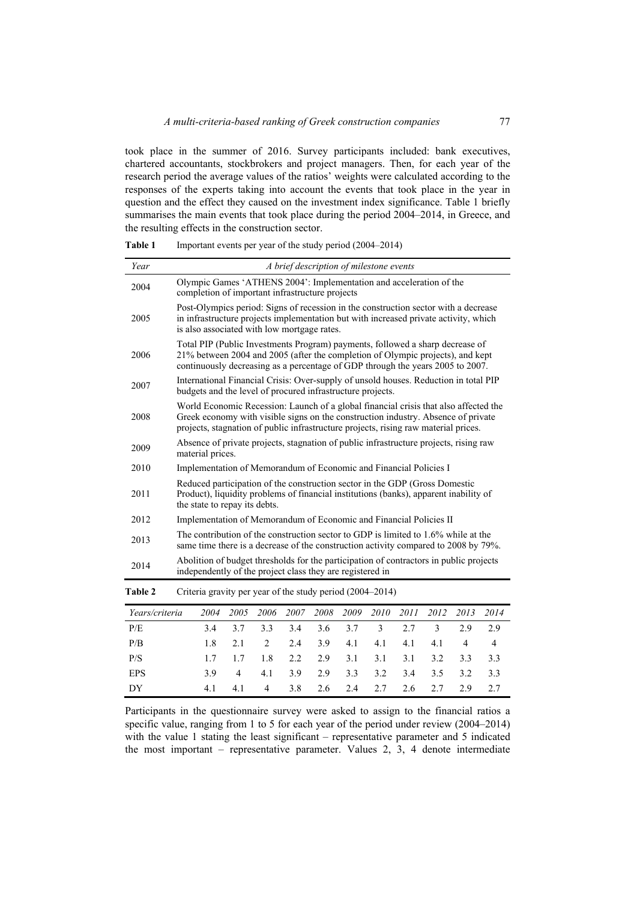took place in the summer of 2016. Survey participants included: bank executives, chartered accountants, stockbrokers and project managers. Then, for each year of the research period the average values of the ratios' weights were calculated according to the responses of the experts taking into account the events that took place in the year in question and the effect they caused on the investment index significance. Table 1 briefly summarises the main events that took place during the period 2004–2014, in Greece, and the resulting effects in the construction sector.

**Table 1** Important events per year of the study period (2004–2014)

| Year           | A brief description of milestone events                                                                                                                                                               |                                                                                                                                                                                                                                                                  |                |                |      |      |      |      |      |      |                |                |  |
|----------------|-------------------------------------------------------------------------------------------------------------------------------------------------------------------------------------------------------|------------------------------------------------------------------------------------------------------------------------------------------------------------------------------------------------------------------------------------------------------------------|----------------|----------------|------|------|------|------|------|------|----------------|----------------|--|
| 2004           |                                                                                                                                                                                                       | Olympic Games 'ATHENS 2004': Implementation and acceleration of the<br>completion of important infrastructure projects                                                                                                                                           |                |                |      |      |      |      |      |      |                |                |  |
| 2005           |                                                                                                                                                                                                       | Post-Olympics period: Signs of recession in the construction sector with a decrease<br>in infrastructure projects implementation but with increased private activity, which<br>is also associated with low mortgage rates.                                       |                |                |      |      |      |      |      |      |                |                |  |
| 2006           |                                                                                                                                                                                                       | Total PIP (Public Investments Program) payments, followed a sharp decrease of<br>21% between 2004 and 2005 (after the completion of Olympic projects), and kept<br>continuously decreasing as a percentage of GDP through the years 2005 to 2007.                |                |                |      |      |      |      |      |      |                |                |  |
| 2007           |                                                                                                                                                                                                       | International Financial Crisis: Over-supply of unsold houses. Reduction in total PIP<br>budgets and the level of procured infrastructure projects.                                                                                                               |                |                |      |      |      |      |      |      |                |                |  |
| 2008           |                                                                                                                                                                                                       | World Economic Recession: Launch of a global financial crisis that also affected the<br>Greek economy with visible signs on the construction industry. Absence of private<br>projects, stagnation of public infrastructure projects, rising raw material prices. |                |                |      |      |      |      |      |      |                |                |  |
| 2009           |                                                                                                                                                                                                       | Absence of private projects, stagnation of public infrastructure projects, rising raw<br>material prices.                                                                                                                                                        |                |                |      |      |      |      |      |      |                |                |  |
| 2010           |                                                                                                                                                                                                       | Implementation of Memorandum of Economic and Financial Policies I                                                                                                                                                                                                |                |                |      |      |      |      |      |      |                |                |  |
| 2011           | Reduced participation of the construction sector in the GDP (Gross Domestic<br>Product), liquidity problems of financial institutions (banks), apparent inability of<br>the state to repay its debts. |                                                                                                                                                                                                                                                                  |                |                |      |      |      |      |      |      |                |                |  |
| 2012           | Implementation of Memorandum of Economic and Financial Policies II                                                                                                                                    |                                                                                                                                                                                                                                                                  |                |                |      |      |      |      |      |      |                |                |  |
| 2013           | The contribution of the construction sector to GDP is limited to 1.6% while at the<br>same time there is a decrease of the construction activity compared to 2008 by 79%.                             |                                                                                                                                                                                                                                                                  |                |                |      |      |      |      |      |      |                |                |  |
| 2014           | Abolition of budget thresholds for the participation of contractors in public projects<br>independently of the project class they are registered in                                                   |                                                                                                                                                                                                                                                                  |                |                |      |      |      |      |      |      |                |                |  |
| Table 2        | Criteria gravity per year of the study period (2004–2014)                                                                                                                                             |                                                                                                                                                                                                                                                                  |                |                |      |      |      |      |      |      |                |                |  |
| Years/criteria |                                                                                                                                                                                                       | 2004                                                                                                                                                                                                                                                             | 2005           | 2006           | 2007 | 2008 | 2009 | 2010 | 2011 | 2012 | 2013           | 2014           |  |
| P/E            |                                                                                                                                                                                                       | 3.4                                                                                                                                                                                                                                                              | 3.7            | 3.3            | 3.4  | 3.6  | 3.7  | 3    | 2.7  | 3    | 2.9            | 2.9            |  |
| P/B            |                                                                                                                                                                                                       | 1.8                                                                                                                                                                                                                                                              | 2.1            | $\overline{2}$ | 2.4  | 3.9  | 4.1  | 4.1  | 4.1  | 4.1  | $\overline{4}$ | $\overline{4}$ |  |
| P/S            |                                                                                                                                                                                                       | 1.7                                                                                                                                                                                                                                                              | 1.7            | 1.8            | 2.2  | 2.9  | 3.1  | 3.1  | 3.1  | 3.2  | 3.3            | 3.3            |  |
| <b>EPS</b>     |                                                                                                                                                                                                       | 3.9                                                                                                                                                                                                                                                              | $\overline{4}$ | 4.1            | 3.9  | 2.9  | 3.3  | 3.2  | 3.4  | 3.5  | 3.2            | 3.3            |  |
| DY             |                                                                                                                                                                                                       | 4.1                                                                                                                                                                                                                                                              | 4.1            | $\overline{4}$ | 3.8  | 2.6  | 2.4  | 2.7  | 2.6  | 2.7  | 2.9            | 2.7            |  |

Participants in the questionnaire survey were asked to assign to the financial ratios a specific value, ranging from 1 to 5 for each year of the period under review (2004–2014) with the value 1 stating the least significant – representative parameter and 5 indicated the most important – representative parameter. Values 2, 3, 4 denote intermediate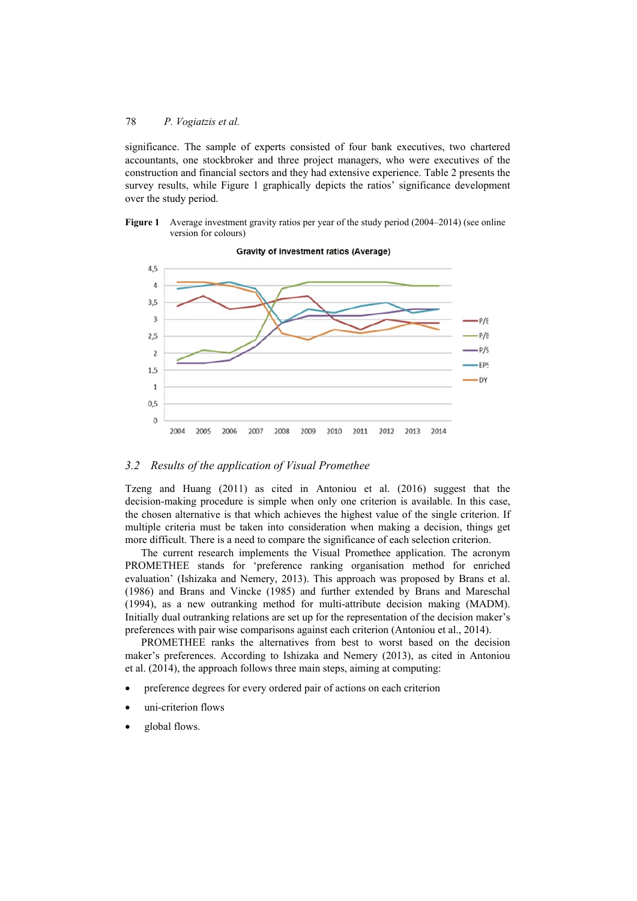significance. The sample of experts consisted of four bank executives, two chartered accountants, one stockbroker and three project managers, who were executives of the construction and financial sectors and they had extensive experience. Table 2 presents the survey results, while Figure 1 graphically depicts the ratios' significance development over the study period.





#### **Gravity of investment ratios (Average)**

#### *3.2 Results of the application of Visual Promethee*

Tzeng and Huang (2011) as cited in Antoniou et al. (2016) suggest that the decision-making procedure is simple when only one criterion is available. In this case, the chosen alternative is that which achieves the highest value of the single criterion. If multiple criteria must be taken into consideration when making a decision, things get more difficult. There is a need to compare the significance of each selection criterion.

The current research implements the Visual Promethee application. The acronym PROMETHEE stands for 'preference ranking organisation method for enriched evaluation' (Ishizaka and Nemery, 2013). This approach was proposed by Brans et al. (1986) and Brans and Vincke (1985) and further extended by Brans and Mareschal (1994), as a new outranking method for multi-attribute decision making (MADM). Initially dual outranking relations are set up for the representation of the decision maker's preferences with pair wise comparisons against each criterion (Antoniou et al., 2014).

PROMETHEE ranks the alternatives from best to worst based on the decision maker's preferences. According to Ishizaka and Nemery (2013), as cited in Antoniou et al. (2014), the approach follows three main steps, aiming at computing:

- preference degrees for every ordered pair of actions on each criterion
- uni-criterion flows
- x global flows.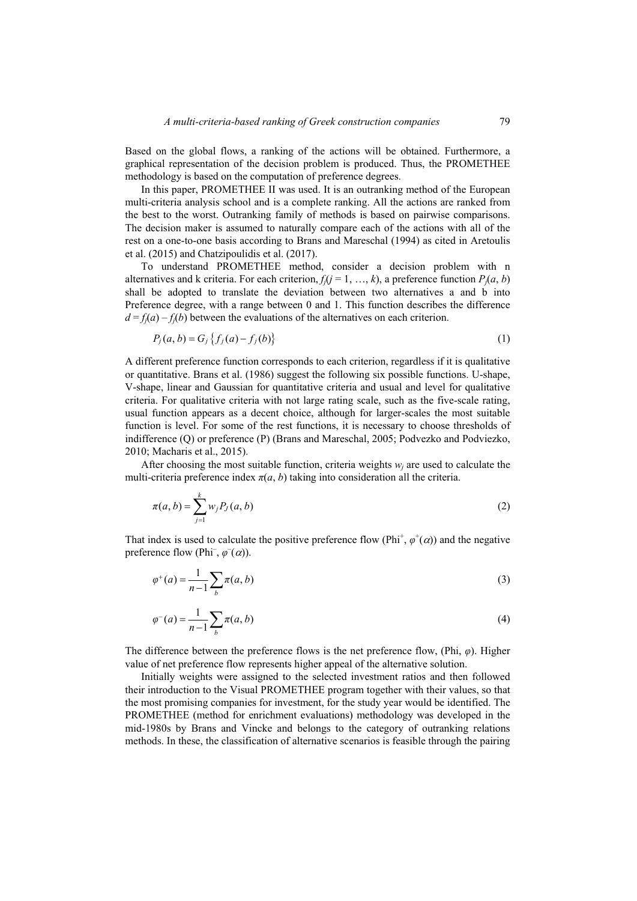Based on the global flows, a ranking of the actions will be obtained. Furthermore, a graphical representation of the decision problem is produced. Thus, the PROMETHEE methodology is based on the computation of preference degrees.

In this paper, PROMETHEE II was used. It is an outranking method of the European multi-criteria analysis school and is a complete ranking. All the actions are ranked from the best to the worst. Outranking family of methods is based on pairwise comparisons. The decision maker is assumed to naturally compare each of the actions with all of the rest on a one-to-one basis according to Brans and Mareschal (1994) as cited in Aretoulis et al. (2015) and Chatzipoulidis et al. (2017).

To understand PROMETHEE method, consider a decision problem with n alternatives and k criteria. For each criterion,  $f_i$ ( $j = 1, ..., k$ ), a preference function  $P_i$ ( $a, b$ ) shall be adopted to translate the deviation between two alternatives a and b into Preference degree, with a range between 0 and 1. This function describes the difference  $d = f_i(a) - f_i(b)$  between the evaluations of the alternatives on each criterion.

$$
P_j(a, b) = G_j \{ f_j(a) - f_j(b) \}
$$
 (1)

A different preference function corresponds to each criterion, regardless if it is qualitative or quantitative. Brans et al. (1986) suggest the following six possible functions. U-shape, V-shape, linear and Gaussian for quantitative criteria and usual and level for qualitative criteria. For qualitative criteria with not large rating scale, such as the five-scale rating, usual function appears as a decent choice, although for larger-scales the most suitable function is level. For some of the rest functions, it is necessary to choose thresholds of indifference (Q) or preference (P) (Brans and Mareschal, 2005; Podvezko and Podviezko, 2010; Macharis et al., 2015).

After choosing the most suitable function, criteria weights  $w_i$  are used to calculate the multi-criteria preference index  $\pi(a, b)$  taking into consideration all the criteria.

$$
\pi(a,b) = \sum_{j=1}^{k} w_j P_j(a,b)
$$
 (2)

That index is used to calculate the positive preference flow (Phi<sup>+</sup>,  $\varphi^{\dagger}(\alpha)$ ) and the negative preference flow (Phi<sup>-</sup>,  $\varphi$ <sup>-</sup>( $\alpha$ )).

$$
\varphi^+(a) = \frac{1}{n-1} \sum_b \pi(a, b) \tag{3}
$$

$$
\varphi^{-}(a) = \frac{1}{n-1} \sum_{b} \pi(a, b)
$$
\n(4)

The difference between the preference flows is the net preference flow, (Phi, *φ*). Higher value of net preference flow represents higher appeal of the alternative solution.

Initially weights were assigned to the selected investment ratios and then followed their introduction to the Visual PROMETHEE program together with their values, so that the most promising companies for investment, for the study year would be identified. The PROMETHEE (method for enrichment evaluations) methodology was developed in the mid-1980s by Brans and Vincke and belongs to the category of outranking relations methods. In these, the classification of alternative scenarios is feasible through the pairing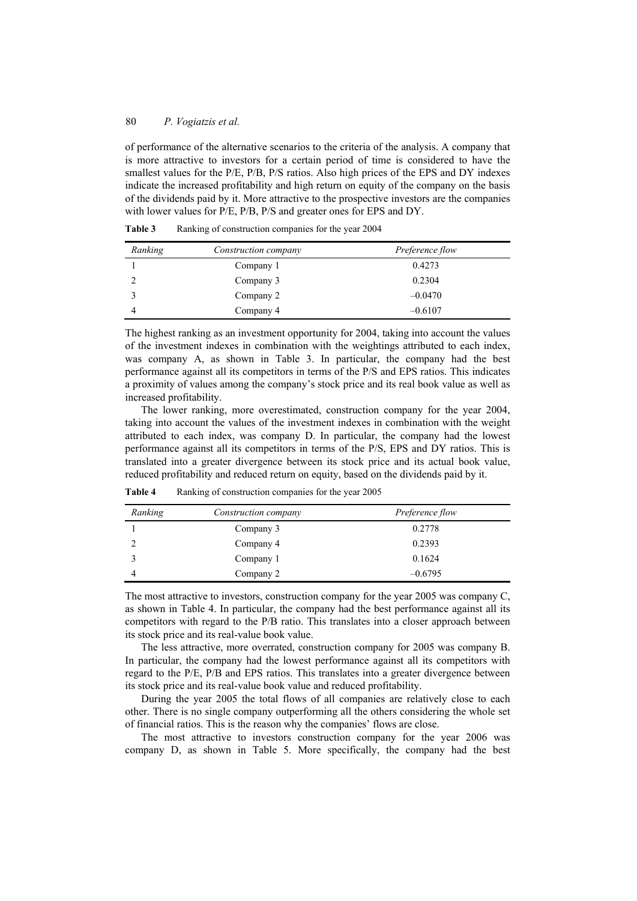of performance of the alternative scenarios to the criteria of the analysis. A company that is more attractive to investors for a certain period of time is considered to have the smallest values for the P/E, P/B, P/S ratios. Also high prices of the EPS and DY indexes indicate the increased profitability and high return on equity of the company on the basis of the dividends paid by it. More attractive to the prospective investors are the companies with lower values for P/E, P/B, P/S and greater ones for EPS and DY.

**Table 3** Ranking of construction companies for the year 2004

| Ranking | Construction company | Preference flow |
|---------|----------------------|-----------------|
|         | Company 1            | 0.4273          |
|         | Company 3            | 0.2304          |
|         | Company 2            | $-0.0470$       |
|         | Company 4            | $-0.6107$       |

The highest ranking as an investment opportunity for 2004, taking into account the values of the investment indexes in combination with the weightings attributed to each index, was company A, as shown in Table 3. In particular, the company had the best performance against all its competitors in terms of the P/S and EPS ratios. This indicates a proximity of values among the company's stock price and its real book value as well as increased profitability.

The lower ranking, more overestimated, construction company for the year 2004, taking into account the values of the investment indexes in combination with the weight attributed to each index, was company D. In particular, the company had the lowest performance against all its competitors in terms of the P/S, EPS and DY ratios. This is translated into a greater divergence between its stock price and its actual book value, reduced profitability and reduced return on equity, based on the dividends paid by it.

| Ranking | Construction company | Preference flow |
|---------|----------------------|-----------------|
|         | Company 3            | 0.2778          |
|         | Company 4            | 0.2393          |
|         | Company 1            | 0.1624          |
|         | Company 2            | $-0.6795$       |

Table 4 Ranking of construction companies for the year 2005

The most attractive to investors, construction company for the year 2005 was company C, as shown in Table 4. In particular, the company had the best performance against all its competitors with regard to the P/B ratio. This translates into a closer approach between its stock price and its real-value book value.

The less attractive, more overrated, construction company for 2005 was company B. In particular, the company had the lowest performance against all its competitors with regard to the P/E, P/B and EPS ratios. This translates into a greater divergence between its stock price and its real-value book value and reduced profitability.

During the year 2005 the total flows of all companies are relatively close to each other. There is no single company outperforming all the others considering the whole set of financial ratios. This is the reason why the companies' flows are close.

The most attractive to investors construction company for the year 2006 was company D, as shown in Table 5. More specifically, the company had the best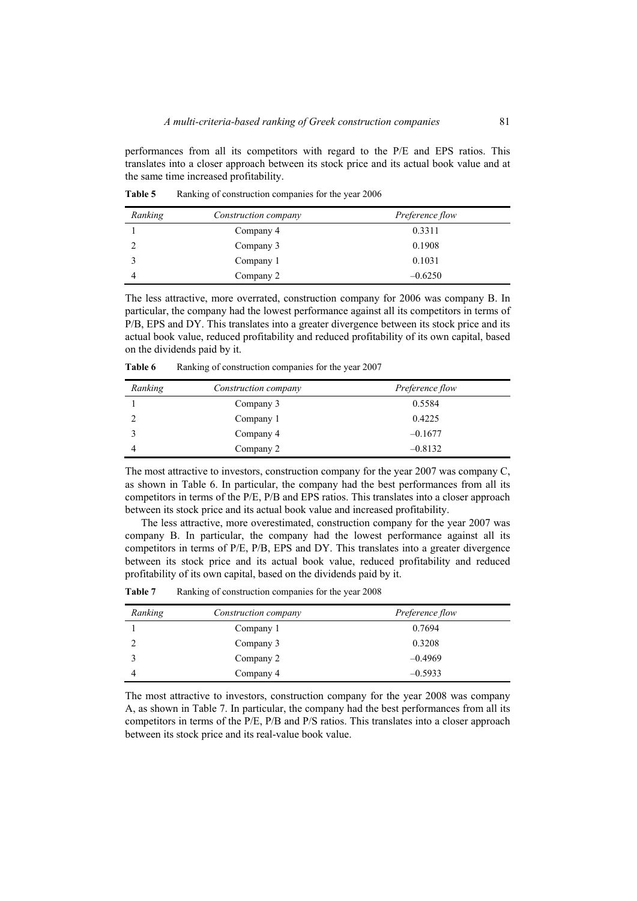performances from all its competitors with regard to the P/E and EPS ratios. This translates into a closer approach between its stock price and its actual book value and at the same time increased profitability.

| Ranking | Construction company | <i>Preference flow</i> |
|---------|----------------------|------------------------|
|         | Company 4            | 0.3311                 |
|         | Company 3            | 0.1908                 |
|         | Company 1            | 0.1031                 |
|         | Company 2            | $-0.6250$              |

Table 5 Ranking of construction companies for the year 2006

The less attractive, more overrated, construction company for 2006 was company B. In particular, the company had the lowest performance against all its competitors in terms of P/B, EPS and DY. This translates into a greater divergence between its stock price and its actual book value, reduced profitability and reduced profitability of its own capital, based on the dividends paid by it.

Table 6 Ranking of construction companies for the year 2007

| Ranking | Construction company | <i>Preference flow</i> |
|---------|----------------------|------------------------|
|         | Company 3            | 0.5584                 |
|         | Company 1            | 0.4225                 |
|         | Company 4            | $-0.1677$              |
|         | Company 2            | $-0.8132$              |

The most attractive to investors, construction company for the year 2007 was company C, as shown in Table 6. In particular, the company had the best performances from all its competitors in terms of the P/E, P/B and EPS ratios. This translates into a closer approach between its stock price and its actual book value and increased profitability.

The less attractive, more overestimated, construction company for the year 2007 was company B. In particular, the company had the lowest performance against all its competitors in terms of P/E, P/B, EPS and DY. This translates into a greater divergence between its stock price and its actual book value, reduced profitability and reduced profitability of its own capital, based on the dividends paid by it.

**Table 7** Ranking of construction companies for the year 2008

| Ranking | Construction company | Preference flow |
|---------|----------------------|-----------------|
|         | Company 1            | 0.7694          |
|         | Company 3            | 0.3208          |
|         | Company 2            | $-0.4969$       |
|         | Company 4            | $-0.5933$       |

The most attractive to investors, construction company for the year 2008 was company A, as shown in Table 7. In particular, the company had the best performances from all its competitors in terms of the P/E, P/B and P/S ratios. This translates into a closer approach between its stock price and its real-value book value.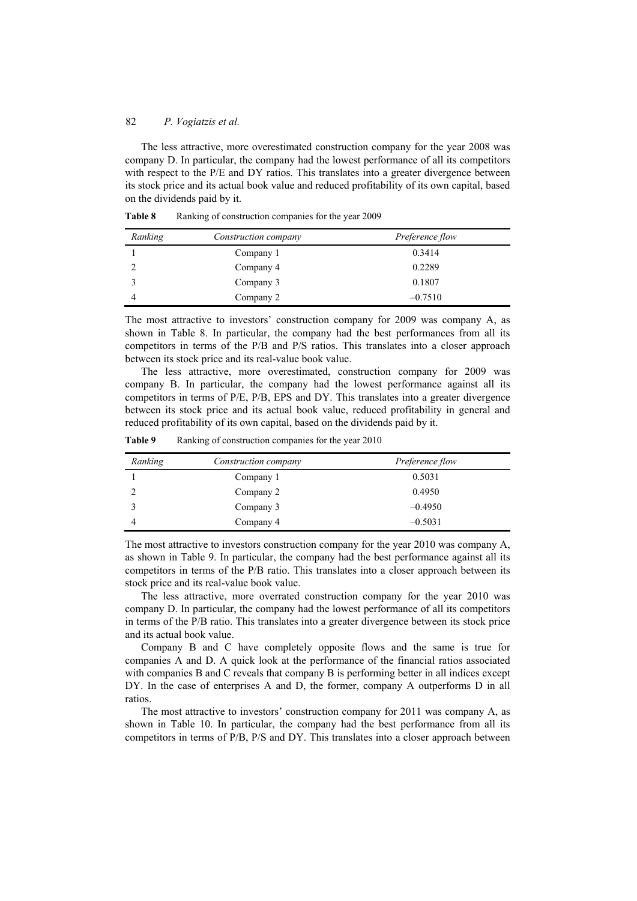The less attractive, more overestimated construction company for the year 2008 was company D. In particular, the company had the lowest performance of all its competitors with respect to the P/E and DY ratios. This translates into a greater divergence between its stock price and its actual book value and reduced profitability of its own capital, based on the dividends paid by it.

Table 8 Ranking of construction companies for the year 2009

| Ranking | Construction company | <i>Preference flow</i> |
|---------|----------------------|------------------------|
|         | Company 1            | 0.3414                 |
|         | Company 4            | 0.2289                 |
|         | Company 3            | 0.1807                 |
|         | Company 2            | $-0.7510$              |

The most attractive to investors' construction company for 2009 was company A, as shown in Table 8. In particular, the company had the best performances from all its competitors in terms of the P/B and P/S ratios. This translates into a closer approach between its stock price and its real-value book value.

The less attractive, more overestimated, construction company for 2009 was company B. In particular, the company had the lowest performance against all its competitors in terms of P/E, P/B, EPS and DY. This translates into a greater divergence between its stock price and its actual book value, reduced profitability in general and reduced profitability of its own capital, based on the dividends paid by it.

**Table 9** Ranking of construction companies for the year 2010

| Ranking | Construction company | <i>Preference flow</i> |
|---------|----------------------|------------------------|
|         | Company 1            | 0.5031                 |
|         | Company 2            | 0.4950                 |
|         | Company 3            | $-0.4950$              |
|         | Company 4            | $-0.5031$              |

The most attractive to investors construction company for the year 2010 was company A, as shown in Table 9. In particular, the company had the best performance against all its competitors in terms of the P/B ratio. This translates into a closer approach between its stock price and its real-value book value.

The less attractive, more overrated construction company for the year 2010 was company D. In particular, the company had the lowest performance of all its competitors in terms of the P/B ratio. This translates into a greater divergence between its stock price and its actual book value.

Company B and C have completely opposite flows and the same is true for companies A and D. A quick look at the performance of the financial ratios associated with companies B and C reveals that company B is performing better in all indices except DY. In the case of enterprises A and D, the former, company A outperforms D in all ratios.

The most attractive to investors' construction company for 2011 was company A, as shown in Table 10. In particular, the company had the best performance from all its competitors in terms of P/B, P/S and DY. This translates into a closer approach between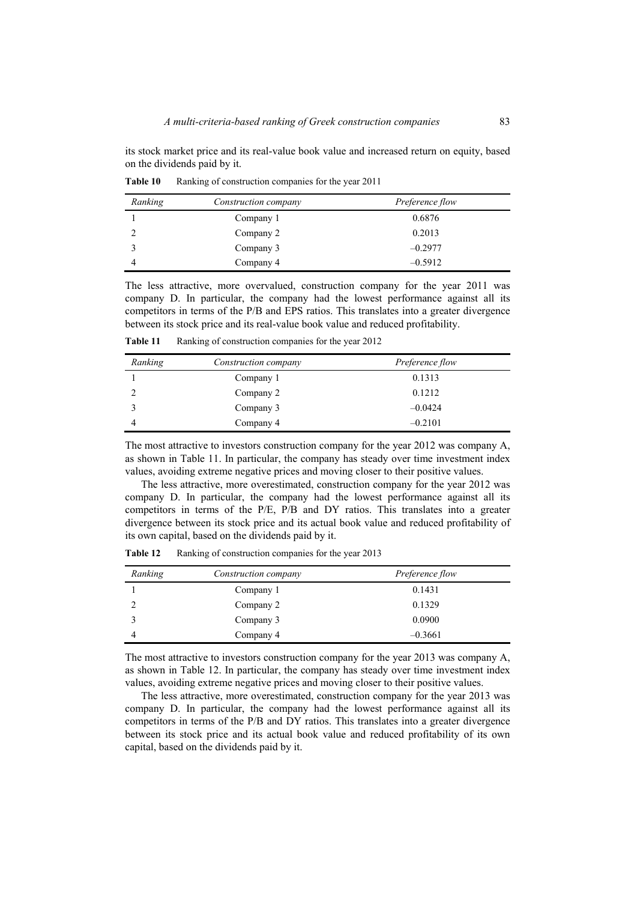its stock market price and its real-value book value and increased return on equity, based on the dividends paid by it.

| Ranking | Construction company | Preference flow |
|---------|----------------------|-----------------|
|         | Company 1            | 0.6876          |
|         | Company 2            | 0.2013          |
|         | Company 3            | $-0.2977$       |
|         | Company 4            | $-0.5912$       |

Table 10 Ranking of construction companies for the year 2011

The less attractive, more overvalued, construction company for the year 2011 was company D. In particular, the company had the lowest performance against all its competitors in terms of the P/B and EPS ratios. This translates into a greater divergence between its stock price and its real-value book value and reduced profitability.

Table 11 Ranking of construction companies for the year 2012

| Ranking | Construction company | Preference flow |
|---------|----------------------|-----------------|
|         | Company 1            | 0.1313          |
|         | Company 2            | 0.1212          |
|         | Company 3            | $-0.0424$       |
|         | Company 4            | $-0.2101$       |

The most attractive to investors construction company for the year 2012 was company A, as shown in Table 11. In particular, the company has steady over time investment index values, avoiding extreme negative prices and moving closer to their positive values.

The less attractive, more overestimated, construction company for the year 2012 was company D. In particular, the company had the lowest performance against all its competitors in terms of the P/E, P/B and DY ratios. This translates into a greater divergence between its stock price and its actual book value and reduced profitability of its own capital, based on the dividends paid by it.

Table 12 Ranking of construction companies for the year 2013

| Ranking | Construction company | <i>Preference flow</i> |
|---------|----------------------|------------------------|
|         | Company 1            | 0.1431                 |
|         | Company 2            | 0.1329                 |
|         | Company 3            | 0.0900                 |
|         | Company 4            | $-0.3661$              |

The most attractive to investors construction company for the year 2013 was company A, as shown in Table 12. In particular, the company has steady over time investment index values, avoiding extreme negative prices and moving closer to their positive values.

The less attractive, more overestimated, construction company for the year 2013 was company D. In particular, the company had the lowest performance against all its competitors in terms of the P/B and DY ratios. This translates into a greater divergence between its stock price and its actual book value and reduced profitability of its own capital, based on the dividends paid by it.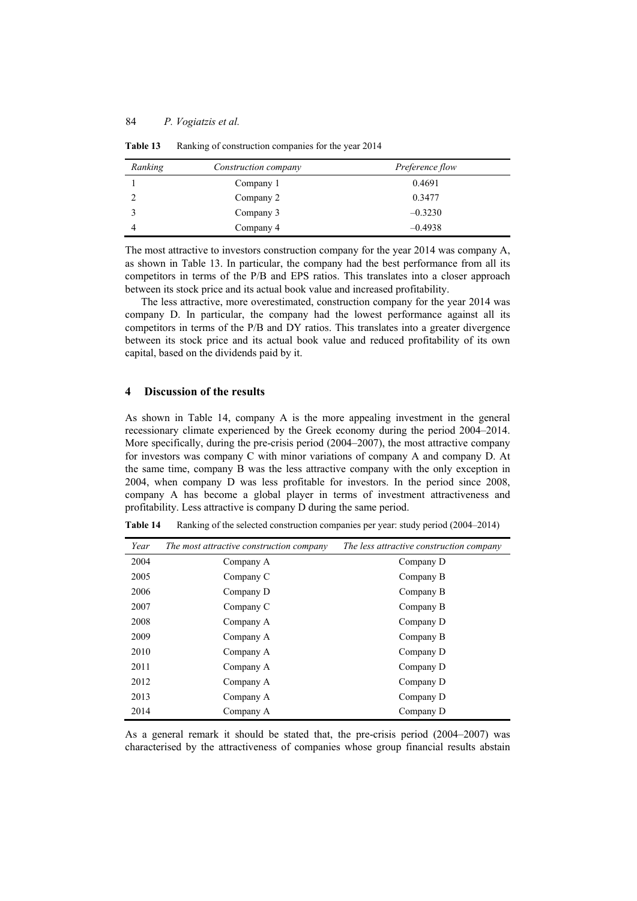| Ranking | Construction company | <i>Preference flow</i> |
|---------|----------------------|------------------------|
|         | Company 1            | 0.4691                 |
|         | Company 2            | 0.3477                 |
|         | Company 3            | $-0.3230$              |
|         | Company 4            | $-0.4938$              |

Table 13 Ranking of construction companies for the year 2014

The most attractive to investors construction company for the year 2014 was company A, as shown in Table 13. In particular, the company had the best performance from all its competitors in terms of the P/B and EPS ratios. This translates into a closer approach between its stock price and its actual book value and increased profitability.

The less attractive, more overestimated, construction company for the year 2014 was company D. In particular, the company had the lowest performance against all its competitors in terms of the P/B and DY ratios. This translates into a greater divergence between its stock price and its actual book value and reduced profitability of its own capital, based on the dividends paid by it.

## **4 Discussion of the results**

As shown in Table 14, company A is the more appealing investment in the general recessionary climate experienced by the Greek economy during the period 2004–2014. More specifically, during the pre-crisis period (2004–2007), the most attractive company for investors was company C with minor variations of company A and company D. At the same time, company B was the less attractive company with the only exception in 2004, when company D was less profitable for investors. In the period since 2008, company A has become a global player in terms of investment attractiveness and profitability. Less attractive is company D during the same period.

| Year | The most attractive construction company | The less attractive construction company |
|------|------------------------------------------|------------------------------------------|
| 2004 | Company A                                | Company D                                |
| 2005 | Company C                                | Company B                                |
| 2006 | Company D                                | Company B                                |
| 2007 | Company C                                | Company B                                |
| 2008 | Company A                                | Company D                                |
| 2009 | Company A                                | Company B                                |
| 2010 | Company A                                | Company D                                |
| 2011 | Company A                                | Company D                                |
| 2012 | Company A                                | Company D                                |
| 2013 | Company A                                | Company D                                |
| 2014 | Company A                                | Company D                                |

**Table 14** Ranking of the selected construction companies per year: study period (2004–2014)

As a general remark it should be stated that, the pre-crisis period (2004–2007) was characterised by the attractiveness of companies whose group financial results abstain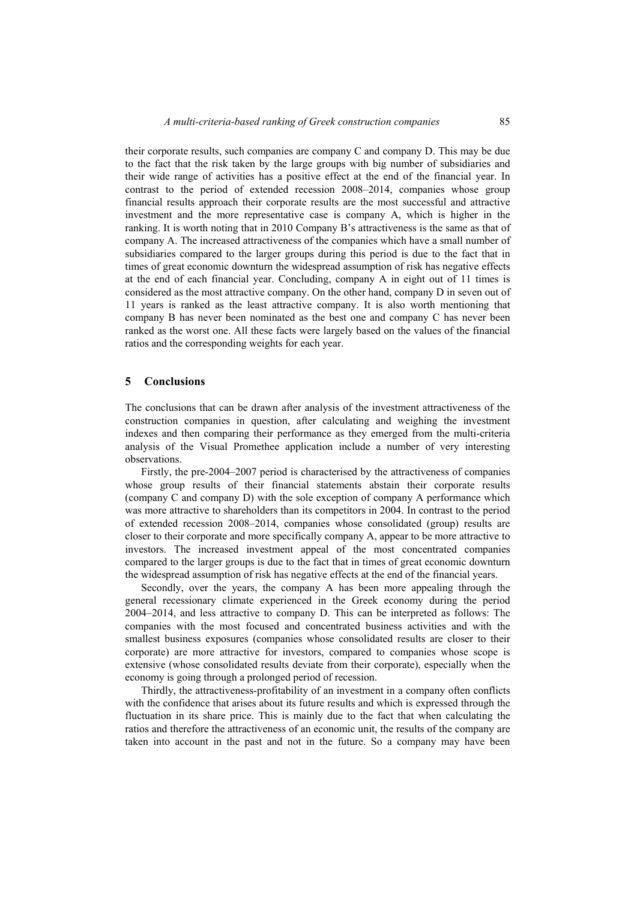their corporate results, such companies are company C and company D. This may be due to the fact that the risk taken by the large groups with big number of subsidiaries and their wide range of activities has a positive effect at the end of the financial year. In contrast to the period of extended recession 2008–2014, companies whose group financial results approach their corporate results are the most successful and attractive investment and the more representative case is company A, which is higher in the ranking. It is worth noting that in 2010 Company B's attractiveness is the same as that of company A. The increased attractiveness of the companies which have a small number of subsidiaries compared to the larger groups during this period is due to the fact that in times of great economic downturn the widespread assumption of risk has negative effects at the end of each financial year. Concluding, company A in eight out of 11 times is considered as the most attractive company. On the other hand, company D in seven out of 11 years is ranked as the least attractive company. It is also worth mentioning that company B has never been nominated as the best one and company C has never been ranked as the worst one. All these facts were largely based on the values of the financial ratios and the corresponding weights for each year.

#### **5 Conclusions**

The conclusions that can be drawn after analysis of the investment attractiveness of the construction companies in question, after calculating and weighing the investment indexes and then comparing their performance as they emerged from the multi-criteria analysis of the Visual Promethee application include a number of very interesting observations.

Firstly, the pre-2004–2007 period is characterised by the attractiveness of companies whose group results of their financial statements abstain their corporate results (company C and company D) with the sole exception of company A performance which was more attractive to shareholders than its competitors in 2004. In contrast to the period of extended recession 2008–2014, companies whose consolidated (group) results are closer to their corporate and more specifically company A, appear to be more attractive to investors. The increased investment appeal of the most concentrated companies compared to the larger groups is due to the fact that in times of great economic downturn the widespread assumption of risk has negative effects at the end of the financial years.

Secondly, over the years, the company A has been more appealing through the general recessionary climate experienced in the Greek economy during the period 2004–2014, and less attractive to company D. This can be interpreted as follows: The companies with the most focused and concentrated business activities and with the smallest business exposures (companies whose consolidated results are closer to their corporate) are more attractive for investors, compared to companies whose scope is extensive (whose consolidated results deviate from their corporate), especially when the economy is going through a prolonged period of recession.

Thirdly, the attractiveness-profitability of an investment in a company often conflicts with the confidence that arises about its future results and which is expressed through the fluctuation in its share price. This is mainly due to the fact that when calculating the ratios and therefore the attractiveness of an economic unit, the results of the company are taken into account in the past and not in the future. So a company may have been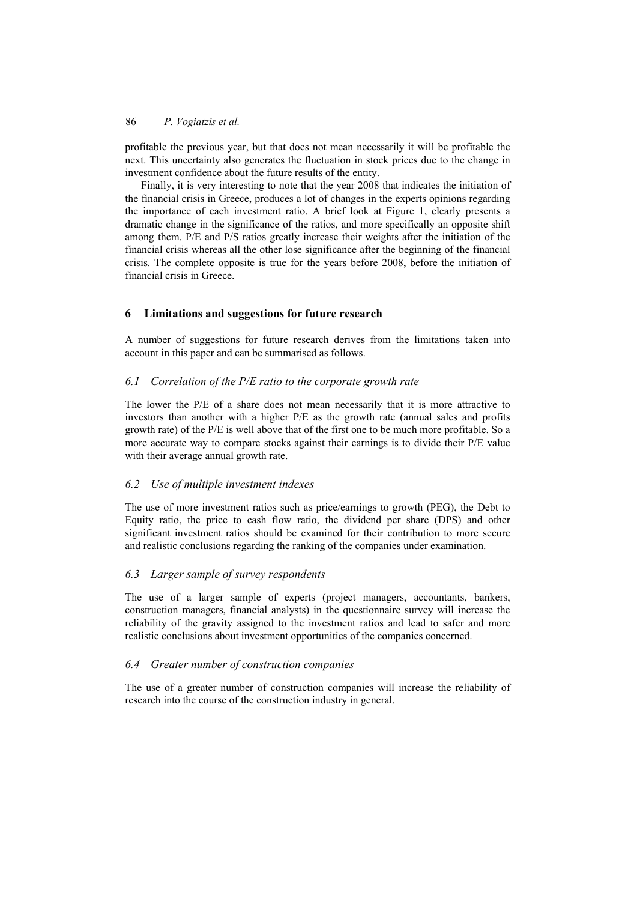profitable the previous year, but that does not mean necessarily it will be profitable the next. This uncertainty also generates the fluctuation in stock prices due to the change in investment confidence about the future results of the entity.

Finally, it is very interesting to note that the year 2008 that indicates the initiation of the financial crisis in Greece, produces a lot of changes in the experts opinions regarding the importance of each investment ratio. A brief look at Figure 1, clearly presents a dramatic change in the significance of the ratios, and more specifically an opposite shift among them. P/E and P/S ratios greatly increase their weights after the initiation of the financial crisis whereas all the other lose significance after the beginning of the financial crisis. The complete opposite is true for the years before 2008, before the initiation of financial crisis in Greece.

#### **6 Limitations and suggestions for future research**

A number of suggestions for future research derives from the limitations taken into account in this paper and can be summarised as follows.

#### *6.1 Correlation of the P/E ratio to the corporate growth rate*

The lower the P/E of a share does not mean necessarily that it is more attractive to investors than another with a higher P/E as the growth rate (annual sales and profits growth rate) of the P/E is well above that of the first one to be much more profitable. So a more accurate way to compare stocks against their earnings is to divide their P/E value with their average annual growth rate.

#### *6.2 Use of multiple investment indexes*

The use of more investment ratios such as price/earnings to growth (PEG), the Debt to Equity ratio, the price to cash flow ratio, the dividend per share (DPS) and other significant investment ratios should be examined for their contribution to more secure and realistic conclusions regarding the ranking of the companies under examination.

#### *6.3 Larger sample of survey respondents*

The use of a larger sample of experts (project managers, accountants, bankers, construction managers, financial analysts) in the questionnaire survey will increase the reliability of the gravity assigned to the investment ratios and lead to safer and more realistic conclusions about investment opportunities of the companies concerned.

#### *6.4 Greater number of construction companies*

The use of a greater number of construction companies will increase the reliability of research into the course of the construction industry in general.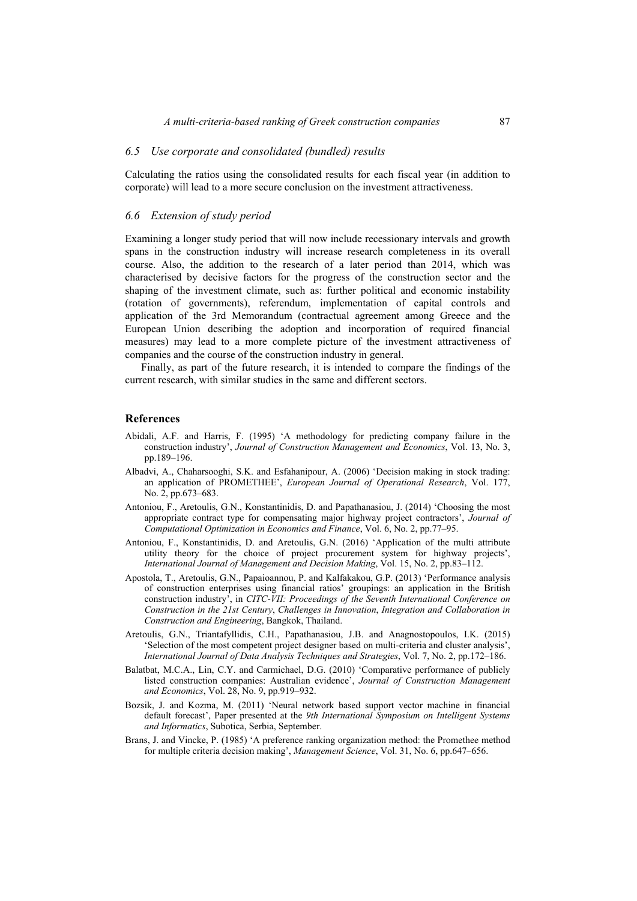#### *6.5 Use corporate and consolidated (bundled) results*

Calculating the ratios using the consolidated results for each fiscal year (in addition to corporate) will lead to a more secure conclusion on the investment attractiveness.

#### *6.6 Extension of study period*

Examining a longer study period that will now include recessionary intervals and growth spans in the construction industry will increase research completeness in its overall course. Also, the addition to the research of a later period than 2014, which was characterised by decisive factors for the progress of the construction sector and the shaping of the investment climate, such as: further political and economic instability (rotation of governments), referendum, implementation of capital controls and application of the 3rd Memorandum (contractual agreement among Greece and the European Union describing the adoption and incorporation of required financial measures) may lead to a more complete picture of the investment attractiveness of companies and the course of the construction industry in general.

Finally, as part of the future research, it is intended to compare the findings of the current research, with similar studies in the same and different sectors.

#### **References**

- Abidali, A.F. and Harris, F. (1995) 'A methodology for predicting company failure in the construction industry', *Journal of Construction Management and Economics*, Vol. 13, No. 3, pp.189–196.
- Albadvi, A., Chaharsooghi, S.K. and Esfahanipour, A. (2006) 'Decision making in stock trading: an application of PROMETHEE', *European Journal of Operational Research*, Vol. 177, No. 2, pp.673–683.
- Antoniou, F., Aretoulis, G.N., Konstantinidis, D. and Papathanasiou, J. (2014) 'Choosing the most appropriate contract type for compensating major highway project contractors', *Journal of Computational Optimization in Economics and Finance*, Vol. 6, No. 2, pp.77–95.
- Antoniou, F., Konstantinidis, D. and Aretoulis, G.N. (2016) 'Application of the multi attribute utility theory for the choice of project procurement system for highway projects', *International Journal of Management and Decision Making*, Vol. 15, No. 2, pp.83–112.
- Apostola, T., Aretoulis, G.N., Papaioannou, P. and Kalfakakou, G.P. (2013) 'Performance analysis of construction enterprises using financial ratios' groupings: an application in the British construction industry', in *CITC-VII: Proceedings of the Seventh International Conference on Construction in the 21st Century*, *Challenges in Innovation*, *Integration and Collaboration in Construction and Engineering*, Bangkok, Thailand.
- Aretoulis, G.N., Triantafyllidis, C.H., Papathanasiou, J.B. and Anagnostopoulos, I.K. (2015) 'Selection of the most competent project designer based on multi-criteria and cluster analysis', *International Journal of Data Analysis Techniques and Strategies*, Vol. 7, No. 2, pp.172–186.
- Balatbat, M.C.A., Lin, C.Y. and Carmichael, D.G. (2010) 'Comparative performance of publicly listed construction companies: Australian evidence', *Journal of Construction Management and Economics*, Vol. 28, No. 9, pp.919–932.
- Bozsik, J. and Kozma, M. (2011) 'Neural network based support vector machine in financial default forecast', Paper presented at the *9th International Symposium on Intelligent Systems and Informatics*, Subotica, Serbia, September.
- Brans, J. and Vincke, P. (1985) 'A preference ranking organization method: the Promethee method for multiple criteria decision making', *Management Science*, Vol. 31, No. 6, pp.647–656.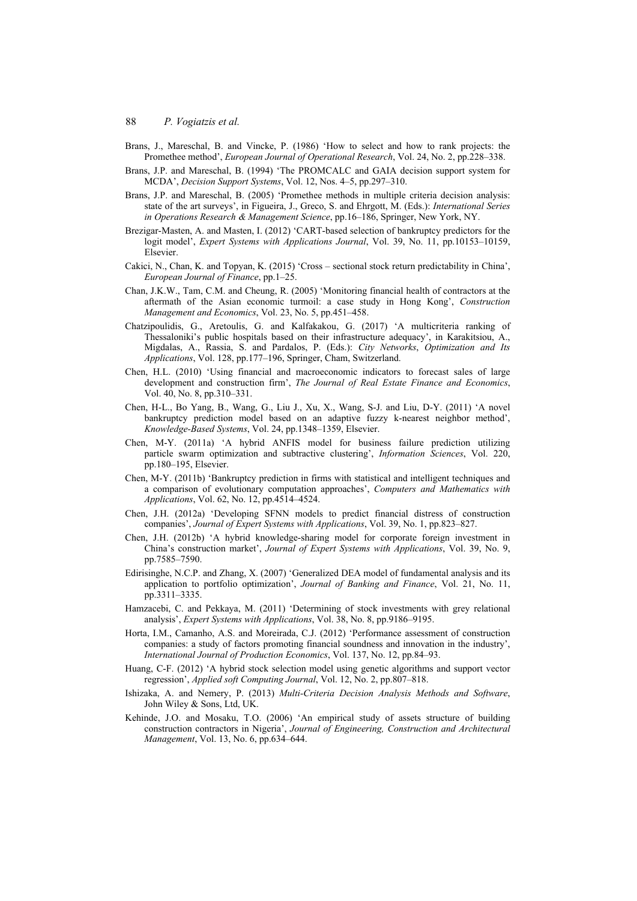- Brans, J., Mareschal, B. and Vincke, P. (1986) 'How to select and how to rank projects: the Promethee method', *European Journal of Operational Research*, Vol. 24, No. 2, pp.228–338.
- Brans, J.P. and Mareschal, B. (1994) 'The PROMCALC and GAIA decision support system for MCDA', *Decision Support Systems*, Vol. 12, Nos. 4–5, pp.297–310.
- Brans, J.P. and Mareschal, B. (2005) 'Promethee methods in multiple criteria decision analysis: state of the art surveys', in Figueira, J., Greco, S. and Ehrgott, M. (Eds.): *International Series in Operations Research & Management Science*, pp.16–186, Springer, New York, NY.
- Brezigar-Masten, Α. and Masten, Ι. (2012) 'CART-based selection of bankruptcy predictors for the logit model', *Expert Systems with Applications Journal*, Vol. 39, No. 11, pp.10153–10159, Elsevier.
- Cakici, N., Chan, K. and Topyan, K. (2015) 'Cross sectional stock return predictability in China', *European Journal of Finance*, pp.1–25.
- Chan, J.K.W., Tam, C.M. and Cheung, R. (2005) 'Monitoring financial health of contractors at the aftermath of the Asian economic turmoil: a case study in Hong Kong', *Construction Management and Economics*, Vol. 23, No. 5, pp.451–458.
- Chatzipoulidis, G., Aretoulis, G. and Kalfakakou, G. (2017) 'A multicriteria ranking of Thessaloniki's public hospitals based on their infrastructure adequacy', in Karakitsiou, A., Migdalas, A., Rassia, S. and Pardalos, P. (Eds.): *City Networks*, *Optimization and Its Applications*, Vol. 128, pp.177–196, Springer, Cham, Switzerland.
- Chen, H.L. (2010) 'Using financial and macroeconomic indicators to forecast sales of large development and construction firm', *The Journal of Real Estate Finance and Economics*, Vol. 40, No. 8, pp.310–331.
- Chen, H-L., Bo Yang, B., Wang, G., Liu J., Xu, X., Wang, S-J. and Liu, D-Y. (2011) 'A novel bankruptcy prediction model based on an adaptive fuzzy k-nearest neighbor method', *Knowledge-Based Systems*, Vol. 24, pp.1348–1359, Elsevier.
- Chen, M-Y. (2011a) 'A hybrid ANFIS model for business failure prediction utilizing particle swarm optimization and subtractive clustering', *Information Sciences*, Vol. 220, pp.180–195, Elsevier.
- Chen, M-Y. (2011b) 'Bankruptcy prediction in firms with statistical and intelligent techniques and a comparison of evolutionary computation approaches', *Computers and Mathematics with Applications*, Vol. 62, No. 12, pp.4514–4524.
- Chen, J.H. (2012a) 'Developing SFNN models to predict financial distress of construction companies', *Journal of Expert Systems with Applications*, Vol. 39, No. 1, pp.823–827.
- Chen, J.H. (2012b) 'A hybrid knowledge-sharing model for corporate foreign investment in China's construction market', *Journal of Expert Systems with Applications*, Vol. 39, No. 9, pp.7585–7590.
- Edirisinghe, N.C.P. and Zhang, X. (2007) 'Generalized DEA model of fundamental analysis and its application to portfolio optimization', *Journal of Banking and Finance*, Vol. 21, No. 11, pp.3311–3335.
- Hamzacebi, C. and Pekkaya, M. (2011) 'Determining of stock investments with grey relational analysis', *Expert Systems with Applications*, Vol. 38, No. 8, pp.9186–9195.
- Horta, I.M., Camanho, A.S. and Moreirada, C.J. (2012) 'Performance assessment of construction companies: a study of factors promoting financial soundness and innovation in the industry', *International Journal of Production Economics*, Vol. 137, No. 12, pp.84–93.
- Huang, C-F. (2012) 'A hybrid stock selection model using genetic algorithms and support vector regression', *Applied soft Computing Journal*, Vol. 12, No. 2, pp.807–818.
- Ishizaka, A. and Nemery, P. (2013) *Multi-Criteria Decision Analysis Methods and Software*, John Wiley & Sons, Ltd, UK.
- Kehinde, J.O. and Mosaku, T.O. (2006) 'An empirical study of assets structure of building construction contractors in Nigeria', *Journal of Engineering, Construction and Architectural Management*, Vol. 13, No. 6, pp.634–644.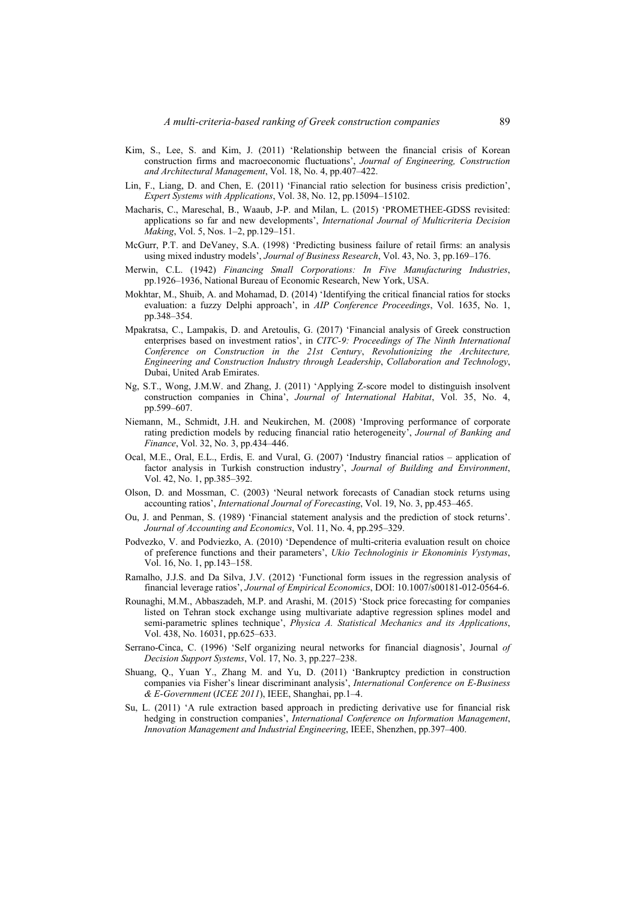- Kim, S., Lee, S. and Kim, J. (2011) 'Relationship between the financial crisis of Korean construction firms and macroeconomic fluctuations', *Journal of Engineering, Construction and Architectural Management*, Vol. 18, No. 4, pp.407–422.
- Lin, F., Liang, D. and Chen, E. (2011) 'Financial ratio selection for business crisis prediction', *Expert Systems with Applications*, Vol. 38, No. 12, pp.15094–15102.
- Macharis, C., Mareschal, B., Waaub, J-P. and Milan, L. (2015) 'PROMETHEE-GDSS revisited: applications so far and new developments', *International Journal of Multicriteria Decision Making*, Vol. 5, Nos. 1–2, pp.129–151.
- McGurr, P.T. and DeVaney, S.A. (1998) 'Predicting business failure of retail firms: an analysis using mixed industry models', *Journal of Business Research*, Vol. 43, No. 3, pp.169–176.
- Merwin, C.L. (1942) *Financing Small Corporations: In Five Manufacturing Industries*, pp.1926–1936, National Bureau of Economic Research, New York, USA.
- Mokhtar, M., Shuib, A. and Mohamad, D. (2014) 'Identifying the critical financial ratios for stocks evaluation: a fuzzy Delphi approach', in *AIP Conference Proceedings*, Vol. 1635, No. 1, pp.348–354.
- Mpakratsa, C., Lampakis, D. and Aretoulis, G. (2017) 'Financial analysis of Greek construction enterprises based on investment ratios', in *CITC-9: Proceedings of The Ninth International Conference on Construction in the 21st Century*, *Revolutionizing the Architecture, Engineering and Construction Industry through Leadership*, *Collaboration and Technology*, Dubai, United Arab Emirates.
- Ng, S.T., Wong, J.M.W. and Zhang, J. (2011) 'Applying Z-score model to distinguish insolvent construction companies in China', *Journal of International Habitat*, Vol. 35, No. 4, pp.599–607.
- Niemann, M., Schmidt, J.H. and Neukirchen, M. (2008) 'Improving performance of corporate rating prediction models by reducing financial ratio heterogeneity', *Journal of Banking and Finance*, Vol. 32, No. 3, pp.434–446.
- Ocal, M.E., Oral, E.L., Erdis, E. and Vural, G. (2007) 'Industry financial ratios application of factor analysis in Turkish construction industry', *Journal of Building and Environment*, Vol. 42, No. 1, pp.385–392.
- Olson, D. and Mossman, C. (2003) 'Neural network forecasts of Canadian stock returns using accounting ratios', *International Journal of Forecasting*, Vol. 19, No. 3, pp.453–465.
- Ou, J. and Penman, S. (1989) 'Financial statement analysis and the prediction of stock returns'. *Journal of Accounting and Economics*, Vol. 11, No. 4, pp.295–329.
- Podvezko, V. and Podviezko, A. (2010) 'Dependence of multi-criteria evaluation result on choice of preference functions and their parameters', *Ukio Technologinis ir Ekonominis Vystymas*, Vol. 16, No. 1, pp.143–158.
- Ramalho, J.J.S. and Da Silva, J.V. (2012) 'Functional form issues in the regression analysis of financial leverage ratios', *Journal of Empirical Economics*, DOI: 10.1007/s00181-012-0564-6.
- Rounaghi, Μ.Μ., Abbaszadeh, Μ.Ρ. and Arashi, Μ. (2015) 'Stock price forecasting for companies listed on Tehran stock exchange using multivariate adaptive regression splines model and semi-parametric splines technique', *Physica A. Statistical Mechanics and its Applications*, Vol. 438, No. 16031, pp.625–633.
- Serrano-Cinca, C. (1996) 'Self organizing neural networks for financial diagnosis', Journal *of Decision Support Systems*, Vol. 17, No. 3, pp.227–238.
- Shuang, Q., Yuan Y., Zhang M. and Yu, D. (2011) 'Bankruptcy prediction in construction companies via Fisher's linear discriminant analysis', *International Conference on E-Business & E-Government* (*ICEE 2011*), IEEE, Shanghai, pp.1–4.
- Su, L. (2011) 'A rule extraction based approach in predicting derivative use for financial risk hedging in construction companies', *International Conference on Information Management*, *Innovation Management and Industrial Engineering*, IEEE, Shenzhen, pp.397–400.